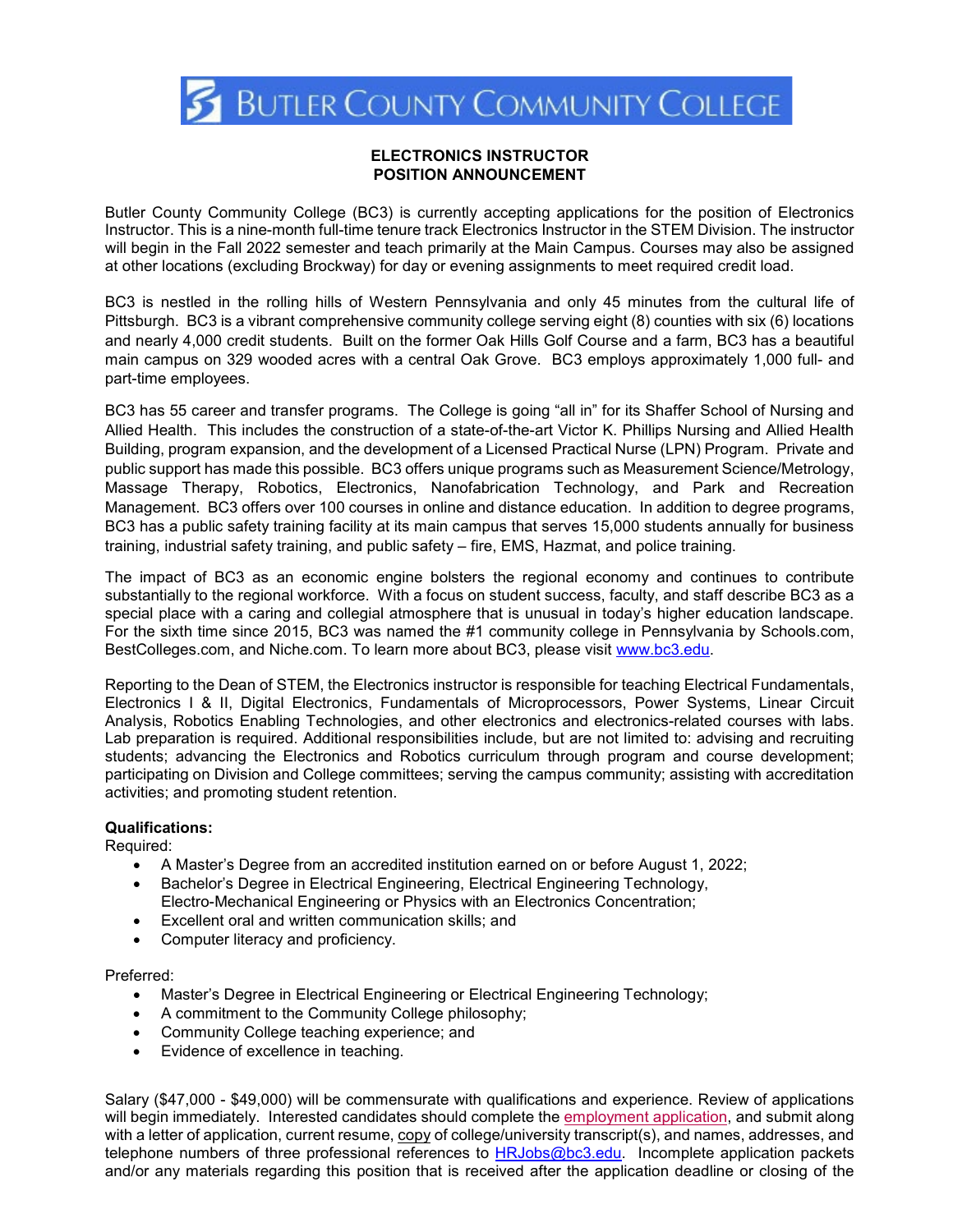

## **ELECTRONICS INSTRUCTOR POSITION ANNOUNCEMENT**

Butler County Community College (BC3) is currently accepting applications for the position of Electronics Instructor. This is a nine-month full-time tenure track Electronics Instructor in the STEM Division. The instructor will begin in the Fall 2022 semester and teach primarily at the Main Campus. Courses may also be assigned at other locations (excluding Brockway) for day or evening assignments to meet required credit load.

BC3 is nestled in the rolling hills of Western Pennsylvania and only 45 minutes from the cultural life of Pittsburgh. BC3 is a vibrant comprehensive community college serving eight (8) counties with six (6) locations and nearly 4,000 credit students. Built on the former Oak Hills Golf Course and a farm, BC3 has a beautiful main campus on 329 wooded acres with a central Oak Grove. BC3 employs approximately 1,000 full- and part-time employees.

BC3 has 55 career and transfer programs. The College is going "all in" for its Shaffer School of Nursing and Allied Health. This includes the construction of a state-of-the-art Victor K. Phillips Nursing and Allied Health Building, program expansion, and the development of a Licensed Practical Nurse (LPN) Program. Private and public support has made this possible. BC3 offers unique programs such as Measurement Science/Metrology, Massage Therapy, Robotics, Electronics, Nanofabrication Technology, and Park and Recreation Management. BC3 offers over 100 courses in online and distance education. In addition to degree programs, BC3 has a public safety training facility at its main campus that serves 15,000 students annually for business training, industrial safety training, and public safety – fire, EMS, Hazmat, and police training.

The impact of BC3 as an economic engine bolsters the regional economy and continues to contribute substantially to the regional workforce. With a focus on student success, faculty, and staff describe BC3 as a special place with a caring and collegial atmosphere that is unusual in today's higher education landscape. For the sixth time since 2015, BC3 was named the #1 community college in Pennsylvania by Schools.com, BestColleges.com, and Niche.com. To learn more about BC3, please visit [www.bc3.edu.](http://www.bc3.edu/)

Reporting to the Dean of STEM, the Electronics instructor is responsible for teaching Electrical Fundamentals, Electronics I & II, Digital Electronics, Fundamentals of Microprocessors, Power Systems, Linear Circuit Analysis, Robotics Enabling Technologies, and other electronics and electronics-related courses with labs. Lab preparation is required. Additional responsibilities include, but are not limited to: advising and recruiting students; advancing the Electronics and Robotics curriculum through program and course development; participating on Division and College committees; serving the campus community; assisting with accreditation activities; and promoting student retention.

## **Qualifications:**

Required:

- A Master's Degree from an accredited institution earned on or before August 1, 2022;
- Bachelor's Degree in Electrical Engineering, Electrical Engineering Technology, Electro-Mechanical Engineering or Physics with an Electronics Concentration;
- Excellent oral and written communication skills; and
- Computer literacy and proficiency.

Preferred:

- Master's Degree in Electrical Engineering or Electrical Engineering Technology;
- A commitment to the Community College philosophy;
- Community College teaching experience; and
- Evidence of excellence in teaching.

Salary (\$47,000 - \$49,000) will be commensurate with qualifications and experience. Review of applications will begin immediately. Interested candidates should complete the [employment application,](http://www.bc3.edu/humanresources/pdf/Application.pdf) and submit along with a letter of application, current resume, copy of college/university transcript(s), and names, addresses, and telephone numbers of three professional references to [HRJobs@bc3.edu.](mailto:HRJobs@bc3.edu) Incomplete application packets and/or any materials regarding this position that is received after the application deadline or closing of the